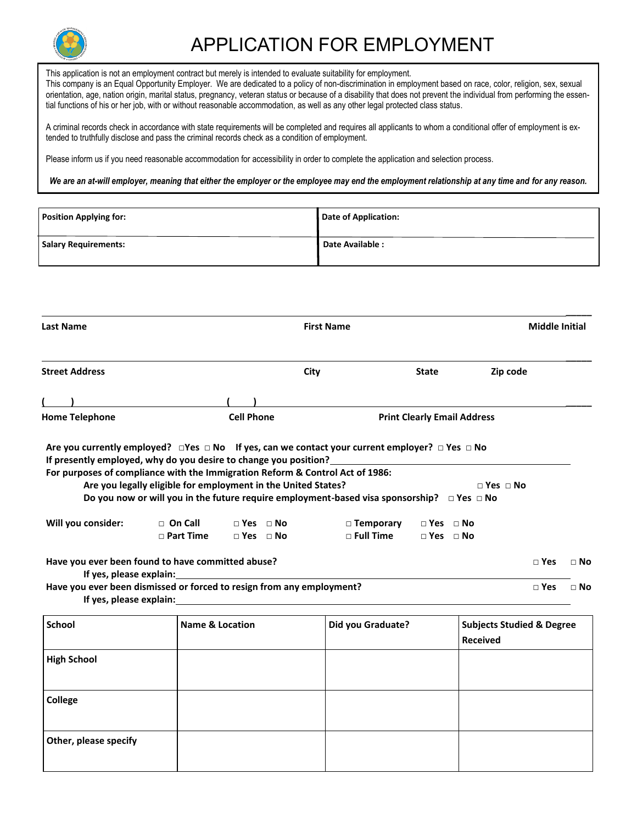

## APPLICATION FOR EMPLOYMENT

This application is not an employment contract but merely is intended to evaluate suitability for employment. This company is an Equal Opportunity Employer. We are dedicated to a policy of non-discrimination in employment based on race, color, religion, sex, sexual orientation, age, nation origin, marital status, pregnancy, veteran status or because of a disability that does not prevent the individual from performing the essential functions of his or her job, with or without reasonable accommodation, as well as any other legal protected class status.

A criminal records check in accordance with state requirements will be completed and requires all applicants to whom a conditional offer of employment is extended to truthfully disclose and pass the criminal records check as a condition of employment.

Please inform us if you need reasonable accommodation for accessibility in order to complete the application and selection process.

*We are an at-will employer, meaning that either the employer or the employee may end the employment relationship at any time and for any reason.*

| <b>Position Applying for:</b> | <b>Date of Application:</b> |
|-------------------------------|-----------------------------|
| <b>Salary Requirements:</b>   | Date Available:             |

| <b>Last Name</b>                                                                                                                                                        |                                                                                 | <b>First Name</b>                               |                                                                                                                                                                                                                                                 |                                                         |                      | <b>Middle Initial</b> |             |
|-------------------------------------------------------------------------------------------------------------------------------------------------------------------------|---------------------------------------------------------------------------------|-------------------------------------------------|-------------------------------------------------------------------------------------------------------------------------------------------------------------------------------------------------------------------------------------------------|---------------------------------------------------------|----------------------|-----------------------|-------------|
| <b>Street Address</b>                                                                                                                                                   |                                                                                 |                                                 | City                                                                                                                                                                                                                                            | <b>State</b>                                            | Zip code             |                       |             |
|                                                                                                                                                                         |                                                                                 |                                                 |                                                                                                                                                                                                                                                 |                                                         |                      |                       |             |
| <b>Home Telephone</b>                                                                                                                                                   |                                                                                 | <b>Cell Phone</b>                               |                                                                                                                                                                                                                                                 | <b>Print Clearly Email Address</b>                      |                      |                       |             |
| If presently employed, why do you desire to change you position?<br>For purposes of compliance with the Immigration Reform & Control Act of 1986:<br>Will you consider: | Are you legally eligible for employment in the United States?<br>$\Box$ On Call | $\Box$ Yes $\Box$ No                            | Are you currently employed? $\Box$ Yes $\Box$ No If yes, can we contact your current employer? $\Box$ Yes $\Box$ No<br>Do you now or will you in the future require employment-based visa sponsorship? $\Box$ Yes $\Box$ No<br>$\Box$ Temporary | $\Box$ Yes $\Box$ No                                    | $\Box$ Yes $\Box$ No |                       |             |
|                                                                                                                                                                         | $\Box$ Part Time                                                                | $\Box$ Yes $\Box$ No                            | $\square$ Full Time                                                                                                                                                                                                                             | $\Box$ Yes $\Box$ No                                    |                      |                       |             |
| Have you ever been found to have committed abuse?<br>If yes, please explain:                                                                                            |                                                                                 |                                                 |                                                                                                                                                                                                                                                 |                                                         |                      | $\square$ Yes         | $\sqcap$ No |
| Have you ever been dismissed or forced to resign from any employment?                                                                                                   |                                                                                 |                                                 | If yes, please explain: The same state of the state of the state of the state of the state of the state of the state of the state of the state of the state of the state of the state of the state of the state of the state o                  |                                                         |                      | $\sqcap$ Yes          | $\sqcap$ No |
| <b>School</b>                                                                                                                                                           |                                                                                 | <b>Name &amp; Location</b><br>Did you Graduate? |                                                                                                                                                                                                                                                 | <b>Subjects Studied &amp; Degree</b><br><b>Received</b> |                      |                       |             |
| <b>High School</b>                                                                                                                                                      |                                                                                 |                                                 |                                                                                                                                                                                                                                                 |                                                         |                      |                       |             |
| <b>College</b>                                                                                                                                                          |                                                                                 |                                                 |                                                                                                                                                                                                                                                 |                                                         |                      |                       |             |
| Other, please specify                                                                                                                                                   |                                                                                 |                                                 |                                                                                                                                                                                                                                                 |                                                         |                      |                       |             |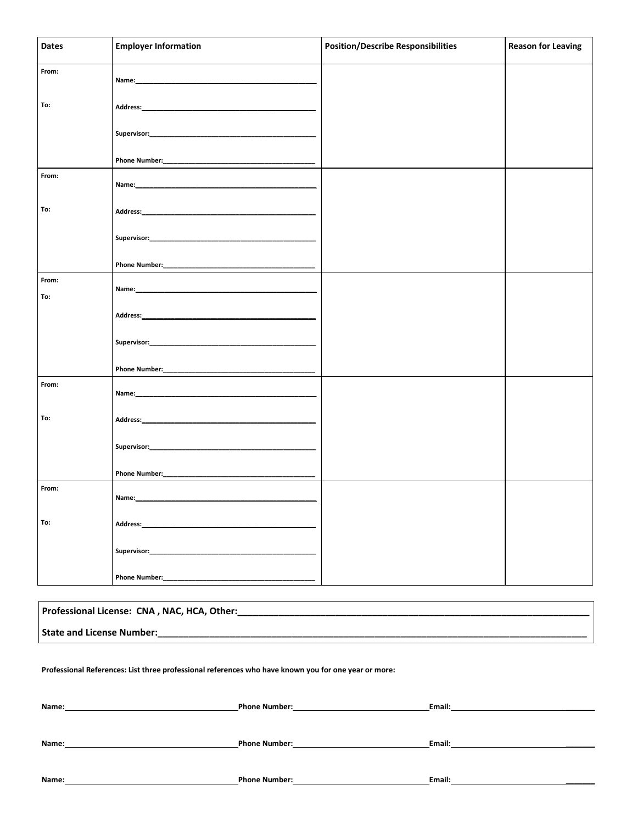| <b>Dates</b> | <b>Employer Information</b>                                                                                                                                                                                                   | <b>Position/Describe Responsibilities</b> | <b>Reason for Leaving</b> |
|--------------|-------------------------------------------------------------------------------------------------------------------------------------------------------------------------------------------------------------------------------|-------------------------------------------|---------------------------|
| From:        |                                                                                                                                                                                                                               |                                           |                           |
| To:          |                                                                                                                                                                                                                               |                                           |                           |
|              |                                                                                                                                                                                                                               |                                           |                           |
|              |                                                                                                                                                                                                                               |                                           |                           |
| From:        |                                                                                                                                                                                                                               |                                           |                           |
| To:          |                                                                                                                                                                                                                               |                                           |                           |
|              |                                                                                                                                                                                                                               |                                           |                           |
|              |                                                                                                                                                                                                                               |                                           |                           |
| From:<br>To: |                                                                                                                                                                                                                               |                                           |                           |
|              |                                                                                                                                                                                                                               |                                           |                           |
|              |                                                                                                                                                                                                                               |                                           |                           |
|              |                                                                                                                                                                                                                               |                                           |                           |
| From:        |                                                                                                                                                                                                                               |                                           |                           |
| To:          |                                                                                                                                                                                                                               |                                           |                           |
|              |                                                                                                                                                                                                                               |                                           |                           |
|              |                                                                                                                                                                                                                               |                                           |                           |
| From:        | Name:                                                                                                                                                                                                                         |                                           |                           |
| To:          | Address: Analysis and Address and Address and Address and Address and Address and Address and Address and Address and Address and Address and Address and Address and Address and Address and Address and Address and Address |                                           |                           |
|              | Supervisor:                                                                                                                                                                                                                   |                                           |                           |
|              | <b>Phone Number:</b>                                                                                                                                                                                                          |                                           |                           |

| Professional License: CNA, NAC, HCA, Other: |
|---------------------------------------------|
| State and License Number:                   |

Professional References: List three professional references who have known you for one year or more:

| Name: | <b>Phone Number:</b> | Email: |
|-------|----------------------|--------|
|       |                      |        |
|       |                      |        |
| Name: | <b>Phone Number:</b> | Email: |
|       |                      |        |
| Name: | <b>Phone Number:</b> | Email: |